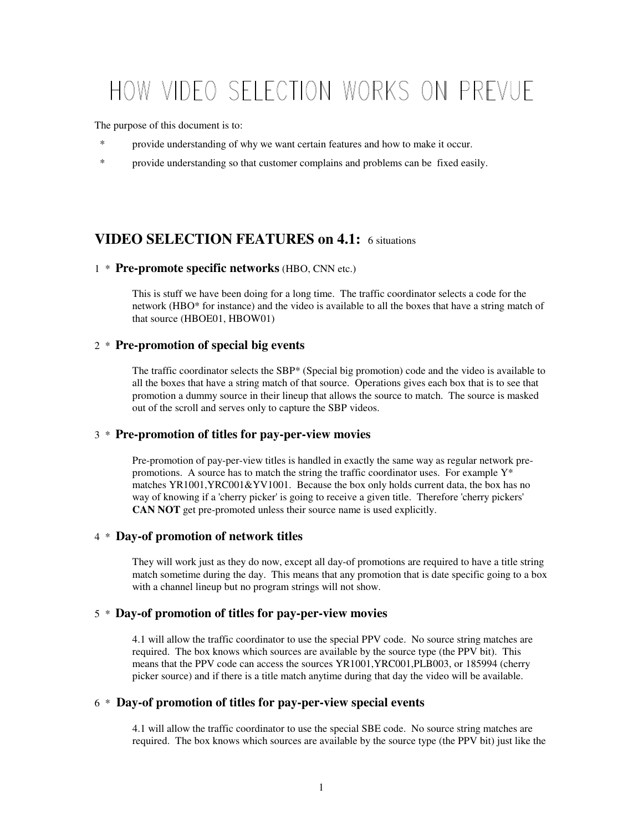# HOW VIDEO SELECTION WORKS ON PREVUE

The purpose of this document is to:

- \* provide understanding of why we want certain features and how to make it occur.
- \* provide understanding so that customer complains and problems can be fixed easily.

# **VIDEO SELECTION FEATURES on 4.1:** 6 situations

#### 1 \* **Pre-promote specific networks** (HBO, CNN etc.)

This is stuff we have been doing for a long time. The traffic coordinator selects a code for the network (HBO\* for instance) and the video is available to all the boxes that have a string match of that source (HBOE01, HBOW01)

## 2 \* **Pre-promotion of special big events**

The traffic coordinator selects the SBP\* (Special big promotion) code and the video is available to all the boxes that have a string match of that source. Operations gives each box that is to see that promotion a dummy source in their lineup that allows the source to match. The source is masked out of the scroll and serves only to capture the SBP videos.

## 3 \* **Pre-promotion of titles for pay-per-view movies**

Pre-promotion of pay-per-view titles is handled in exactly the same way as regular network prepromotions. A source has to match the string the traffic coordinator uses. For example  $Y^*$ matches YR1001,YRC001&YV1001. Because the box only holds current data, the box has no way of knowing if a 'cherry picker' is going to receive a given title. Therefore 'cherry pickers' **CAN NOT** get pre-promoted unless their source name is used explicitly.

## 4 \* **Day-of promotion of network titles**

They will work just as they do now, except all day-of promotions are required to have a title string match sometime during the day. This means that any promotion that is date specific going to a box with a channel lineup but no program strings will not show.

## 5 \* **Day-of promotion of titles for pay-per-view movies**

4.1 will allow the traffic coordinator to use the special PPV code. No source string matches are required. The box knows which sources are available by the source type (the PPV bit). This means that the PPV code can access the sources YR1001,YRC001,PLB003, or 185994 (cherry picker source) and if there is a title match anytime during that day the video will be available.

#### 6 \* **Day-of promotion of titles for pay-per-view special events**

4.1 will allow the traffic coordinator to use the special SBE code. No source string matches are required. The box knows which sources are available by the source type (the PPV bit) just like the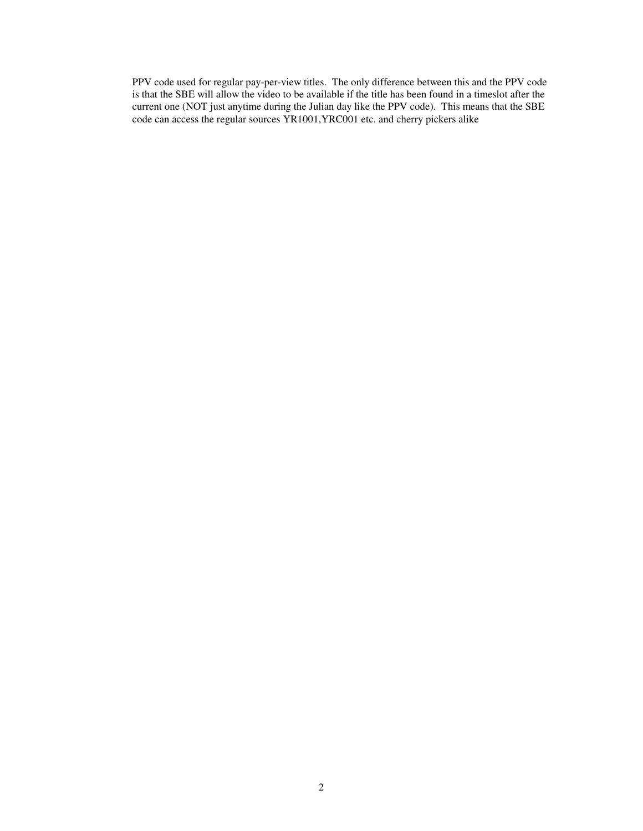PPV code used for regular pay-per-view titles. The only difference between this and the PPV code is that the SBE will allow the video to be available if the title has been found in a timeslot after the current one (NOT just anytime during the Julian day like the PPV code). This means that the SBE code can access the regular sources YR1001,YRC001 etc. and cherry pickers alike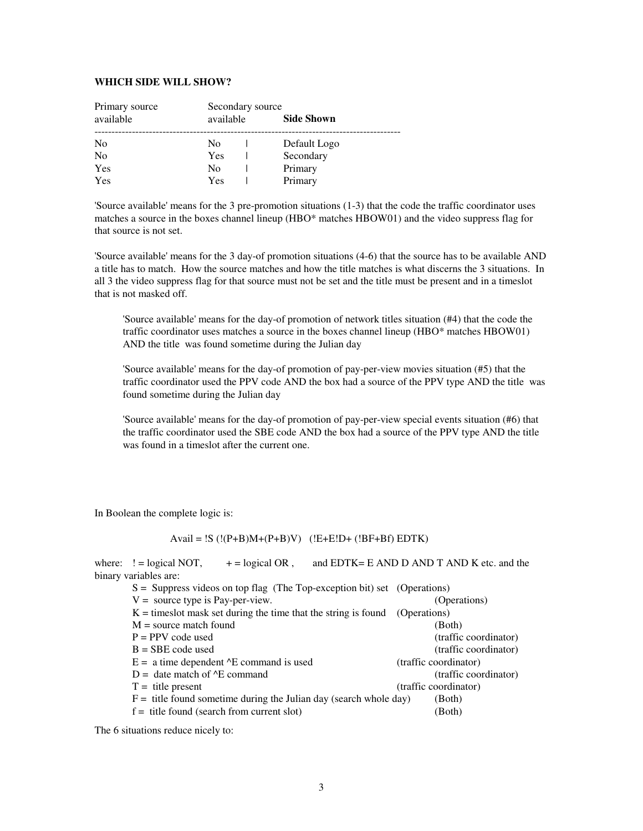#### **WHICH SIDE WILL SHOW?**

| Primary source |           | Secondary source |                   |  |
|----------------|-----------|------------------|-------------------|--|
| available      | available |                  | <b>Side Shown</b> |  |
| N <sub>0</sub> | No        |                  | Default Logo      |  |
| No             | Yes       |                  | Secondary         |  |
| Yes            | No        |                  | Primary           |  |
| Yes            | Yes       |                  | Primary           |  |

'Source available' means for the 3 pre-promotion situations (1-3) that the code the traffic coordinator uses matches a source in the boxes channel lineup (HBO\* matches HBOW01) and the video suppress flag for that source is not set.

'Source available' means for the 3 day-of promotion situations (4-6) that the source has to be available AND a title has to match. How the source matches and how the title matches is what discerns the 3 situations. In all 3 the video suppress flag for that source must not be set and the title must be present and in a timeslot that is not masked off.

'Source available' means for the day-of promotion of network titles situation (#4) that the code the traffic coordinator uses matches a source in the boxes channel lineup (HBO\* matches HBOW01) AND the title was found sometime during the Julian day

'Source available' means for the day-of promotion of pay-per-view movies situation (#5) that the traffic coordinator used the PPV code AND the box had a source of the PPV type AND the title was found sometime during the Julian day

'Source available' means for the day-of promotion of pay-per-view special events situation (#6) that the traffic coordinator used the SBE code AND the box had a source of the PPV type AND the title was found in a timeslot after the current one.

In Boolean the complete logic is:

Avail =  $!S$  ( $!(P+B)M+(P+B)V$ ) ( $!E+E!D+(!BF+Bf)EDTK$ )

where:  $!=$  logical NOT,  $+$  = logical OR, and EDTK= E AND D AND T AND K etc. and the binary variables are:

| $S =$ Suppress videos on top flag (The Top-exception bit) set (Operations) |                       |
|----------------------------------------------------------------------------|-----------------------|
| $V =$ source type is Pay-per-view.                                         | (Operations)          |
| $K =$ times lot mask set during the time that the string is found          | (Operations)          |
| $M =$ source match found                                                   | (Both)                |
| $P = PPV$ code used                                                        | (traffic coordinator) |
| $B = SBE$ code used                                                        | (traffic coordinator) |
| $E = a$ time dependent $E$ command is used                                 | (traffic coordinator) |
| $D =$ date match of $E$ command                                            | (traffic coordinator) |
| $T =$ title present                                                        | (traffic coordinator) |
| $F =$ title found sometime during the Julian day (search whole day)        | (Both)                |
| $f =$ title found (search from current slot)                               | (Both)                |

The 6 situations reduce nicely to: